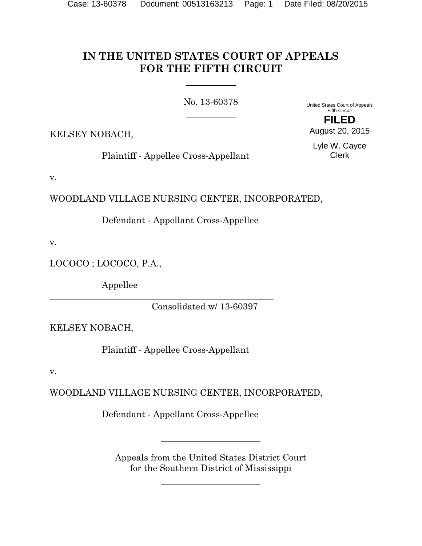# **IN THE UNITED STATES COURT OF APPEALS FOR THE FIFTH CIRCUIT**

No. 13-60378

United States Court of Appeals Fifth Circuit **FILED**

KELSEY NOBACH,

Plaintiff - Appellee Cross-Appellant

Lyle W. Cayce Clerk

August 20, 2015

v.

WOODLAND VILLAGE NURSING CENTER, INCORPORATED,

Defendant - Appellant Cross-Appellee

v.

LOCOCO ; LOCOCO, P.A.,

Appellee

Consolidated w/ 13-60397

KELSEY NOBACH,

Plaintiff - Appellee Cross-Appellant

\_\_\_\_\_\_\_\_\_\_\_\_\_\_\_\_\_\_\_\_\_\_\_\_\_\_\_\_\_\_\_\_\_\_\_\_\_\_\_\_\_\_\_\_\_\_\_\_\_\_

v.

WOODLAND VILLAGE NURSING CENTER, INCORPORATED,

Defendant - Appellant Cross-Appellee

Appeals from the United States District Court for the Southern District of Mississippi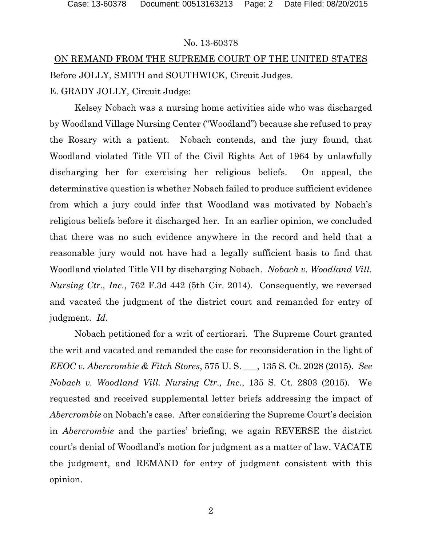#### No. 13-60378

# ON REMAND FROM THE SUPREME COURT OF THE UNITED STATES Before JOLLY, SMITH and SOUTHWICK, Circuit Judges. E. GRADY JOLLY, Circuit Judge:

Kelsey Nobach was a nursing home activities aide who was discharged by Woodland Village Nursing Center ("Woodland") because she refused to pray the Rosary with a patient. Nobach contends, and the jury found, that Woodland violated Title VII of the Civil Rights Act of 1964 by unlawfully discharging her for exercising her religious beliefs. On appeal, the determinative question is whether Nobach failed to produce sufficient evidence from which a jury could infer that Woodland was motivated by Nobach's religious beliefs before it discharged her. In an earlier opinion, we concluded that there was no such evidence anywhere in the record and held that a reasonable jury would not have had a legally sufficient basis to find that Woodland violated Title VII by discharging Nobach. *Nobach v. Woodland Vill. Nursing Ctr., Inc*., 762 F.3d 442 (5th Cir. 2014). Consequently, we reversed and vacated the judgment of the district court and remanded for entry of judgment. *Id*.

Nobach petitioned for a writ of certiorari. The Supreme Court granted the writ and vacated and remanded the case for reconsideration in the light of *EEOC v. Abercrombie & Fitch Stores*, 575 U. S. \_\_\_, 135 S. Ct. 2028 (2015). *See Nobach v. Woodland Vill. Nursing Ctr., Inc.*, 135 S. Ct. 2803 (2015). We requested and received supplemental letter briefs addressing the impact of *Abercrombie* on Nobach's case. After considering the Supreme Court's decision in *Abercrombie* and the parties' briefing, we again REVERSE the district court's denial of Woodland's motion for judgment as a matter of law, VACATE the judgment, and REMAND for entry of judgment consistent with this opinion.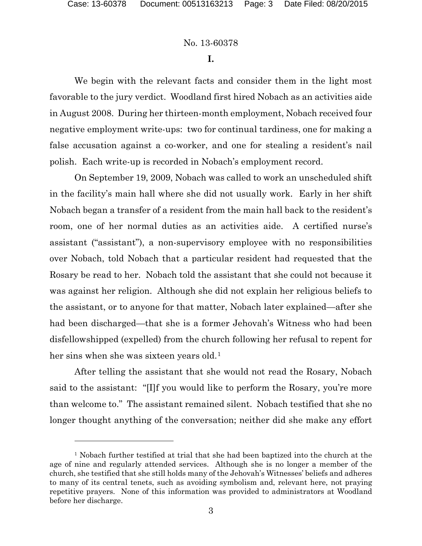#### No. 13-60378

**I.**

We begin with the relevant facts and consider them in the light most favorable to the jury verdict. Woodland first hired Nobach as an activities aide in August 2008. During her thirteen-month employment, Nobach received four negative employment write-ups: two for continual tardiness, one for making a false accusation against a co-worker, and one for stealing a resident's nail polish. Each write-up is recorded in Nobach's employment record.

On September 19, 2009, Nobach was called to work an unscheduled shift in the facility's main hall where she did not usually work. Early in her shift Nobach began a transfer of a resident from the main hall back to the resident's room, one of her normal duties as an activities aide. A certified nurse's assistant ("assistant"), a non-supervisory employee with no responsibilities over Nobach, told Nobach that a particular resident had requested that the Rosary be read to her. Nobach told the assistant that she could not because it was against her religion. Although she did not explain her religious beliefs to the assistant, or to anyone for that matter, Nobach later explained—after she had been discharged—that she is a former Jehovah's Witness who had been disfellowshipped (expelled) from the church following her refusal to repent for her sins when she was sixteen years old.<sup>1</sup>

After telling the assistant that she would not read the Rosary, Nobach said to the assistant: "[I]f you would like to perform the Rosary, you're more than welcome to." The assistant remained silent. Nobach testified that she no longer thought anything of the conversation; neither did she make any effort

<sup>&</sup>lt;sup>1</sup> Nobach further testified at trial that she had been baptized into the church at the age of nine and regularly attended services. Although she is no longer a member of the church, she testified that she still holds many of the Jehovah's Witnesses' beliefs and adheres to many of its central tenets, such as avoiding symbolism and, relevant here, not praying repetitive prayers. None of this information was provided to administrators at Woodland before her discharge.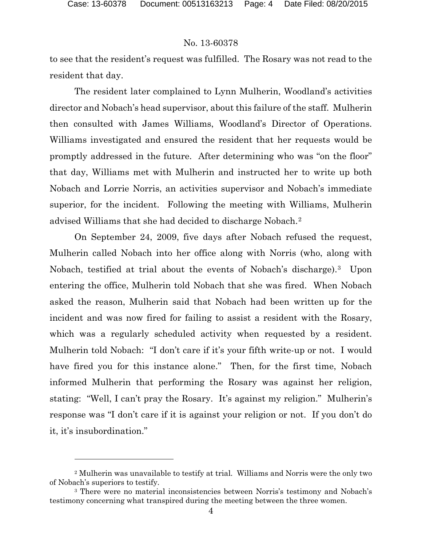# No. 13-60378

to see that the resident's request was fulfilled. The Rosary was not read to the resident that day.

The resident later complained to Lynn Mulherin, Woodland's activities director and Nobach's head supervisor, about this failure of the staff. Mulherin then consulted with James Williams, Woodland's Director of Operations. Williams investigated and ensured the resident that her requests would be promptly addressed in the future. After determining who was "on the floor" that day, Williams met with Mulherin and instructed her to write up both Nobach and Lorrie Norris, an activities supervisor and Nobach's immediate superior, for the incident. Following the meeting with Williams, Mulherin advised Williams that she had decided to discharge Nobach.2

On September 24, 2009, five days after Nobach refused the request, Mulherin called Nobach into her office along with Norris (who, along with Nobach, testified at trial about the events of Nobach's discharge).3 Upon entering the office, Mulherin told Nobach that she was fired. When Nobach asked the reason, Mulherin said that Nobach had been written up for the incident and was now fired for failing to assist a resident with the Rosary, which was a regularly scheduled activity when requested by a resident. Mulherin told Nobach: "I don't care if it's your fifth write-up or not. I would have fired you for this instance alone." Then, for the first time, Nobach informed Mulherin that performing the Rosary was against her religion, stating: "Well, I can't pray the Rosary. It's against my religion." Mulherin's response was "I don't care if it is against your religion or not. If you don't do it, it's insubordination."

<sup>2</sup> Mulherin was unavailable to testify at trial. Williams and Norris were the only two of Nobach's superiors to testify.

<sup>3</sup> There were no material inconsistencies between Norris's testimony and Nobach's testimony concerning what transpired during the meeting between the three women.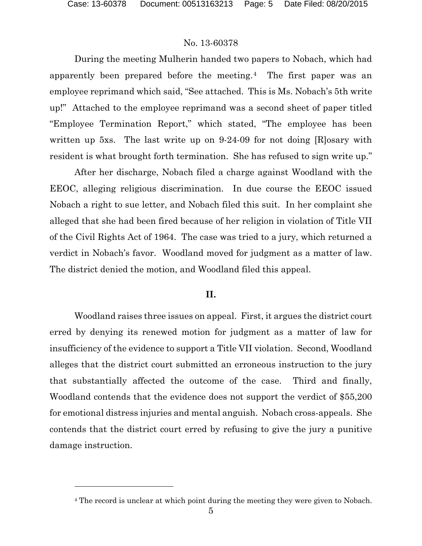l

### No. 13-60378

During the meeting Mulherin handed two papers to Nobach, which had apparently been prepared before the meeting.4 The first paper was an employee reprimand which said, "See attached. This is Ms. Nobach's 5th write up!" Attached to the employee reprimand was a second sheet of paper titled "Employee Termination Report," which stated, "The employee has been written up 5xs. The last write up on 9-24-09 for not doing [R]osary with resident is what brought forth termination. She has refused to sign write up."

After her discharge, Nobach filed a charge against Woodland with the EEOC, alleging religious discrimination. In due course the EEOC issued Nobach a right to sue letter, and Nobach filed this suit. In her complaint she alleged that she had been fired because of her religion in violation of Title VII of the Civil Rights Act of 1964. The case was tried to a jury, which returned a verdict in Nobach's favor. Woodland moved for judgment as a matter of law. The district denied the motion, and Woodland filed this appeal.

### **II.**

Woodland raises three issues on appeal. First, it argues the district court erred by denying its renewed motion for judgment as a matter of law for insufficiency of the evidence to support a Title VII violation. Second, Woodland alleges that the district court submitted an erroneous instruction to the jury that substantially affected the outcome of the case. Third and finally, Woodland contends that the evidence does not support the verdict of \$55,200 for emotional distress injuries and mental anguish. Nobach cross-appeals. She contends that the district court erred by refusing to give the jury a punitive damage instruction.

<sup>&</sup>lt;sup>4</sup> The record is unclear at which point during the meeting they were given to Nobach.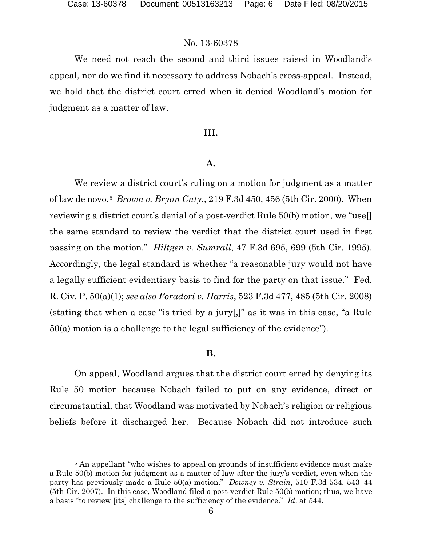l

## No. 13-60378

We need not reach the second and third issues raised in Woodland's appeal, nor do we find it necessary to address Nobach's cross-appeal. Instead, we hold that the district court erred when it denied Woodland's motion for judgment as a matter of law.

#### **III.**

#### **A.**

We review a district court's ruling on a motion for judgment as a matter of law de novo.5 *Brown v. Bryan Cnty*., 219 F.3d 450, 456 (5th Cir. 2000). When reviewing a district court's denial of a post-verdict Rule 50(b) motion, we "use[] the same standard to review the verdict that the district court used in first passing on the motion." *Hiltgen v. Sumrall*, 47 F.3d 695, 699 (5th Cir. 1995). Accordingly, the legal standard is whether "a reasonable jury would not have a legally sufficient evidentiary basis to find for the party on that issue." Fed. R. Civ. P. 50(a)(1); *see also Foradori v. Harris*, 523 F.3d 477, 485 (5th Cir. 2008) (stating that when a case "is tried by a jury[,]" as it was in this case, "a Rule 50(a) motion is a challenge to the legal sufficiency of the evidence").

#### **B.**

On appeal, Woodland argues that the district court erred by denying its Rule 50 motion because Nobach failed to put on any evidence, direct or circumstantial, that Woodland was motivated by Nobach's religion or religious beliefs before it discharged her. Because Nobach did not introduce such

<sup>&</sup>lt;sup>5</sup> An appellant "who wishes to appeal on grounds of insufficient evidence must make a Rule 50(b) motion for judgment as a matter of law after the jury's verdict, even when the party has previously made a Rule 50(a) motion." *Downey v. Strain*, 510 F.3d 534, 543–44 (5th Cir. 2007). In this case, Woodland filed a post-verdict Rule 50(b) motion; thus, we have a basis "to review [its] challenge to the sufficiency of the evidence." *Id*. at 544.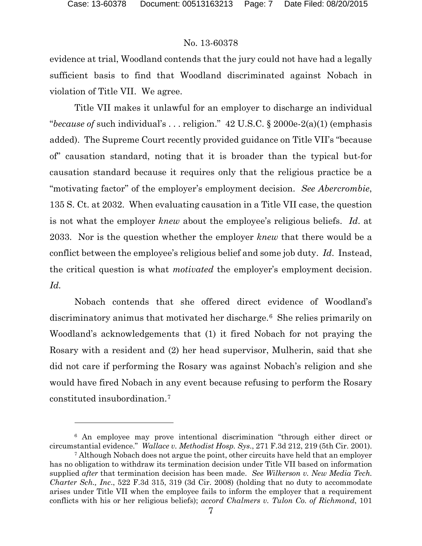#### No. 13-60378

evidence at trial, Woodland contends that the jury could not have had a legally sufficient basis to find that Woodland discriminated against Nobach in violation of Title VII. We agree.

Title VII makes it unlawful for an employer to discharge an individual "*because of* such individual's . . . religion." 42 U.S.C. § 2000e-2(a)(1) (emphasis added). The Supreme Court recently provided guidance on Title VII's "because of" causation standard, noting that it is broader than the typical but-for causation standard because it requires only that the religious practice be a "motivating factor" of the employer's employment decision. *See Abercrombie*, 135 S. Ct. at 2032. When evaluating causation in a Title VII case, the question is not what the employer *knew* about the employee's religious beliefs. *Id*. at 2033. Nor is the question whether the employer *knew* that there would be a conflict between the employee's religious belief and some job duty. *Id*. Instead, the critical question is what *motivated* the employer's employment decision. *Id.*

Nobach contends that she offered direct evidence of Woodland's discriminatory animus that motivated her discharge.6 She relies primarily on Woodland's acknowledgements that (1) it fired Nobach for not praying the Rosary with a resident and (2) her head supervisor, Mulherin, said that she did not care if performing the Rosary was against Nobach's religion and she would have fired Nobach in any event because refusing to perform the Rosary constituted insubordination.7

<sup>6</sup> An employee may prove intentional discrimination "through either direct or circumstantial evidence." *Wallace v. Methodist Hosp. Sys*., 271 F.3d 212, 219 (5th Cir. 2001).

<sup>7</sup> Although Nobach does not argue the point, other circuits have held that an employer has no obligation to withdraw its termination decision under Title VII based on information supplied *after* that termination decision has been made. *See Wilkerson v. New Media Tech. Charter Sch., Inc*., 522 F.3d 315, 319 (3d Cir. 2008) (holding that no duty to accommodate arises under Title VII when the employee fails to inform the employer that a requirement conflicts with his or her religious beliefs); *accord Chalmers v. Tulon Co. of Richmond*, 101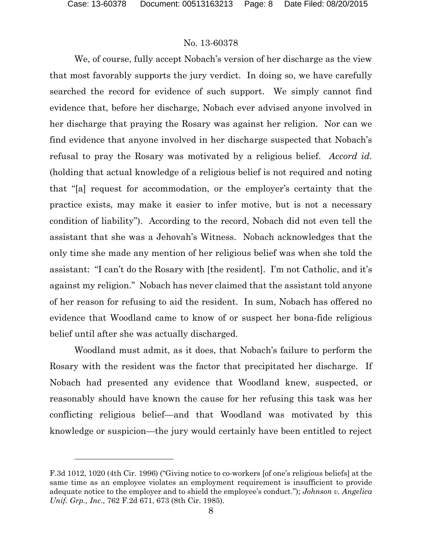### No. 13-60378

We, of course, fully accept Nobach's version of her discharge as the view that most favorably supports the jury verdict. In doing so, we have carefully searched the record for evidence of such support. We simply cannot find evidence that, before her discharge, Nobach ever advised anyone involved in her discharge that praying the Rosary was against her religion. Nor can we find evidence that anyone involved in her discharge suspected that Nobach's refusal to pray the Rosary was motivated by a religious belief. *Accord id*. (holding that actual knowledge of a religious belief is not required and noting that "[a] request for accommodation, or the employer's certainty that the practice exists, may make it easier to infer motive, but is not a necessary condition of liability"). According to the record, Nobach did not even tell the assistant that she was a Jehovah's Witness. Nobach acknowledges that the only time she made any mention of her religious belief was when she told the assistant: "I can't do the Rosary with [the resident]. I'm not Catholic, and it's against my religion." Nobach has never claimed that the assistant told anyone of her reason for refusing to aid the resident. In sum, Nobach has offered no evidence that Woodland came to know of or suspect her bona-fide religious belief until after she was actually discharged.

Woodland must admit, as it does, that Nobach's failure to perform the Rosary with the resident was the factor that precipitated her discharge. If Nobach had presented any evidence that Woodland knew, suspected, or reasonably should have known the cause for her refusing this task was her conflicting religious belief—and that Woodland was motivated by this knowledge or suspicion—the jury would certainly have been entitled to reject

F.3d 1012, 1020 (4th Cir. 1996) ("Giving notice to co-workers [of one's religious beliefs] at the same time as an employee violates an employment requirement is insufficient to provide adequate notice to the employer and to shield the employee's conduct."); *Johnson v. Angelica Unif. Grp., Inc*., 762 F.2d 671, 673 (8th Cir. 1985).